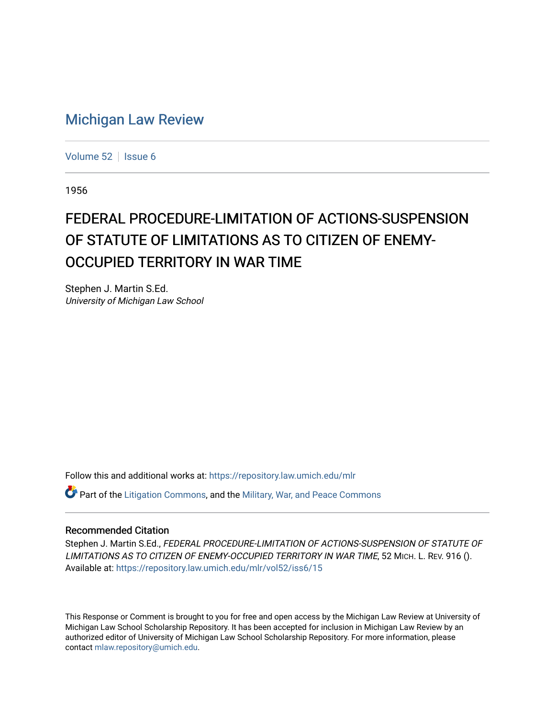## [Michigan Law Review](https://repository.law.umich.edu/mlr)

[Volume 52](https://repository.law.umich.edu/mlr/vol52) | [Issue 6](https://repository.law.umich.edu/mlr/vol52/iss6)

1956

## FEDERAL PROCEDURE-LIMITATION OF ACTIONS-SUSPENSION OF STATUTE OF LIMITATIONS AS TO CITIZEN OF ENEMY-OCCUPIED TERRITORY IN WAR TIME

Stephen J. Martin S.Ed. University of Michigan Law School

Follow this and additional works at: [https://repository.law.umich.edu/mlr](https://repository.law.umich.edu/mlr?utm_source=repository.law.umich.edu%2Fmlr%2Fvol52%2Fiss6%2F15&utm_medium=PDF&utm_campaign=PDFCoverPages) 

 $\bullet$  Part of the [Litigation Commons](http://network.bepress.com/hgg/discipline/910?utm_source=repository.law.umich.edu%2Fmlr%2Fvol52%2Fiss6%2F15&utm_medium=PDF&utm_campaign=PDFCoverPages), and the Military, War, and Peace Commons

## Recommended Citation

Stephen J. Martin S.Ed., FEDERAL PROCEDURE-LIMITATION OF ACTIONS-SUSPENSION OF STATUTE OF LIMITATIONS AS TO CITIZEN OF ENEMY-OCCUPIED TERRITORY IN WAR TIME, 52 MICH. L. REV. 916 (). Available at: [https://repository.law.umich.edu/mlr/vol52/iss6/15](https://repository.law.umich.edu/mlr/vol52/iss6/15?utm_source=repository.law.umich.edu%2Fmlr%2Fvol52%2Fiss6%2F15&utm_medium=PDF&utm_campaign=PDFCoverPages) 

This Response or Comment is brought to you for free and open access by the Michigan Law Review at University of Michigan Law School Scholarship Repository. It has been accepted for inclusion in Michigan Law Review by an authorized editor of University of Michigan Law School Scholarship Repository. For more information, please contact [mlaw.repository@umich.edu](mailto:mlaw.repository@umich.edu).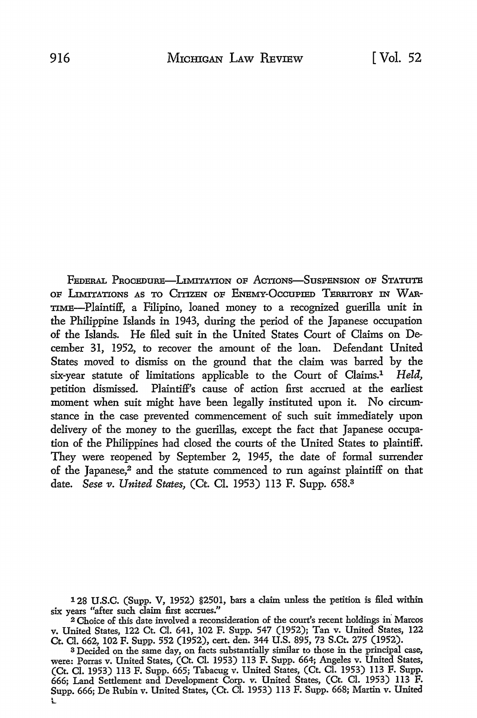FEDERAL PROCEDURE—LIMITATION OF ACTIONS—SUSPENSION OF STATUTE OF LIMITATIONS AS TO CITIZEN OF ENEMY-OCCUPIED TERRITORY IN WAR-'IIME-Plaintiff, a Filipino, loaned money to a recognized guerilla unit in the Philippine Islands in 1943, during the period of the Japanese occupation of the Islands. He filed suit in the United States Court of Claims on December 31, 1952, to recover the amount of the loan. Defendant United States moved to dismiss on the ground that the claim was barred by the six-year statute of limitations applicable to the Court of Claims.1 *Held,*  petition dismissed. Plaintiff's cause of action first accrued at the earliest moment when suit might have been legaily instituted upon it. No circumstance in the case prevented commencement of such suit immediately upon delivery of the money to the guerillas, except the fact that Japanese occupation of the Philippines had dosed the courts of the United States to plaintiff. They were reopened by September 2, 1945, the date of formal surrender of the Japanese,<sup>2</sup> and the statute commenced to run against plaintiff on that date. *Sese v. United States,* (Ct. CI. 1953) 113 F. Supp. 658.<sup>3</sup>

128 U .S.C. (Supp. V, 1952) §2501, bars a claim unless the petition is filed within six years "after such claim first accrues."

<sup>2</sup>Choice of this date involved a reconsideration of the court's recent holdings in Marcos v. United States, 122 Ct. CI. 641, 102 F. Supp. 547 (1952); Tan v. United States, 122 Ct. CI. 662, 102 F. Supp. 552 (1952), cert. den. 344 U.S. 895, 73 S.Ct. 275 (1952).

<sup>3</sup>Decided on the same day, on facts substantially similar to those in the principal case, were: Porras v. United States, (Ct. Cl. 1953) 113 F. Supp. 664; Angeles v. United States, (Ct. Cl. 1953) 113 F. Supp. 665; Tabacug v. United States, (Ct. Cl. 1953) 113 F. Supp. 666; Land Settlement and Development Corp. *v.* United States, (Ct. Cl. 1953) 113 F. Supp. 666; De Rubin v. United States, (Ct. Cl. 1953) 113 F. Supp. 668; Martin v. United . L.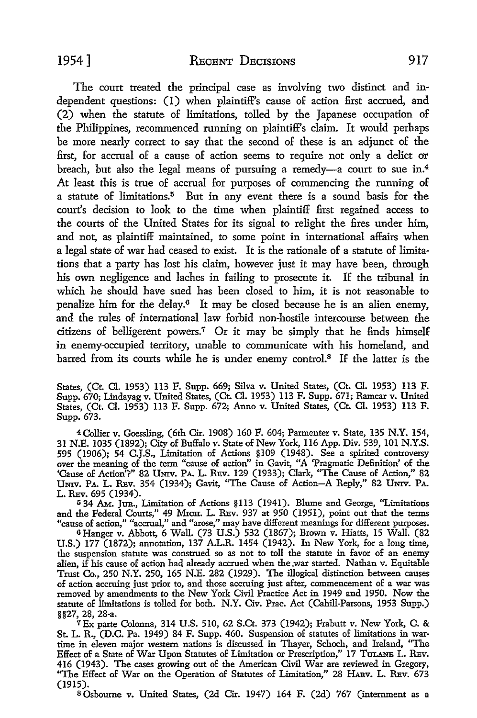The court treated the principal case as involving two distinct and independent questions: (I) when plaintiff's cause of action first accrued, and (2) when the statute of limitations, tolled by the Japanese occupation of the Philippines, recommenced running on plaintiff's claim. It would perhaps be more nearly correct to say that the second of these is an adjunct of the first, for accrual of a cause of action seems to require not only a delict or breach, but also the legal means of pursuing a remedy-a court to sue in.<sup>4</sup> At least this is true of accrual for purposes of commencing the running of a statute of limitations.5 But in any event there is a sound basis for the court's decision to look to the time when plaintiff first regained access to the courts of the United States for its signal to relight the fires under him, and not, as plaintiff maintained, to some point in international affairs when a legal state of war had ceased to exist. It is the rationale of a statute of limitations that a party has lost his claim, however just it may have been, through his own negligence and laches in failing to prosecute it. If the tribunal in which he should have sued has been closed to him, it is not reasonable to penalize him for the delay.6 It may be closed because he is an alien enemy, and the rules of international law forbid non-hostile intercourse between the citizens of belligerent powers.<sup>7</sup>Or it may be simply that he finds himself in enemy-occupied territory, unable to communicate with his homeland, and barred from its courts while he is under enemy control.8 If the latter is the

States, (Ct. Cl. 1953) 113 F. Supp. 669; Silva v. United States, (Ct. Cl. 1953) 113 F. Supp. 670; Lindayag v. United States, (Ct. Cl. 1953) 113 F. Supp. 671; Ramcar v. United States, (Ct. Cl. 1953) 113 F. Supp. 672; Anno v. United States, (Ct. Cl. 1953) 113 F. Supp. 673.

<sup>4</sup>Collier v. Goessling, (6th Cir. 1908) 160 F. 604; Parmenter v. State, 135 N.Y. 154, 31 N.E. 1035 (1892); City of Buffalo v. State of New York, 116 App. *Div.* 539, 101 N.Y.S. 595 (1906); 54 C.J.S., Limitation of Actions §109 (1948). See a spirited controversy over the meaning of the term "cause of action" in Gavit, "A 'Pragmatic Definition' of the 'Cause of Action<sup>7</sup>?" 82 Univ. PA. L. Rev. 129 (1933); Clark, "The Cause of Action," 82 UNIV. PA. L. REV. 354 (1934); Gavit, "The Cause of Action-A Reply," 82 UNIV. PA. L. REv. 695 (1934).

<sup>5</sup>34 AM. JUR,, Limitation of Actions §113 (1941). Blume and George, ''Limitations and the Federal Courts," 49 Mich. L. REv. 937 at 950 (1951), point out that the terms "cause of action," "accrual,'' and "arose," may have different meanings for different purposes.

<sup>6</sup>Hanger v. Abbott, 6 Wall. (73 U.S.) 532 (1867); Brown v. Hiatts, 15 Wall. (82 U.S.) 177 (1872); annotation, 137 A.L.R. 1454 (1942). In New York, for a long time, the suspension statute was construed so as not to toll the statute in favor of an enemy alien, if his cause of action had already accrued when the .war started. Nathan v. Equitable Trust Co., 250 N.Y. 250, 165 N.E. 282 (1929). The illogical distinction between causes of action accruing just prior to, and those accruing just after, commencement of a war was removed by amendments to the New York Civil Practice Act in 1949 and 1950. Now the statute of limitations is tolled for both. N.Y. Civ. Prac. Act (Cahill-Parsons, 1953 Supp.) §§27, 28, 28-a.

7Ex parte Colonna, 314 U.S. 510, 62 S.Ct. 373 (1942); Frabutt v. New York, C. & St. L. R., (D.C. Pa. 1949) 84 F. Supp. 460. Suspension of statutes of limitations in wartime in eleven major western nations is discussed in Thayer, Schoch, and Ireland, ''The Effect of a State of War Upon Statutes of Limitation or Prescription," 17 TULANE L. REV. 416 (1943). The cases growing out of the American Civil War are reviewed in Gregory, "The Effect of War on the Operation of Statutes of Limitation," 28 HARV. L. REV. 673 (1915).

s Osbourne v. United States, (2d Cir. 1947) 164 F. (2d) 767 (internment as a